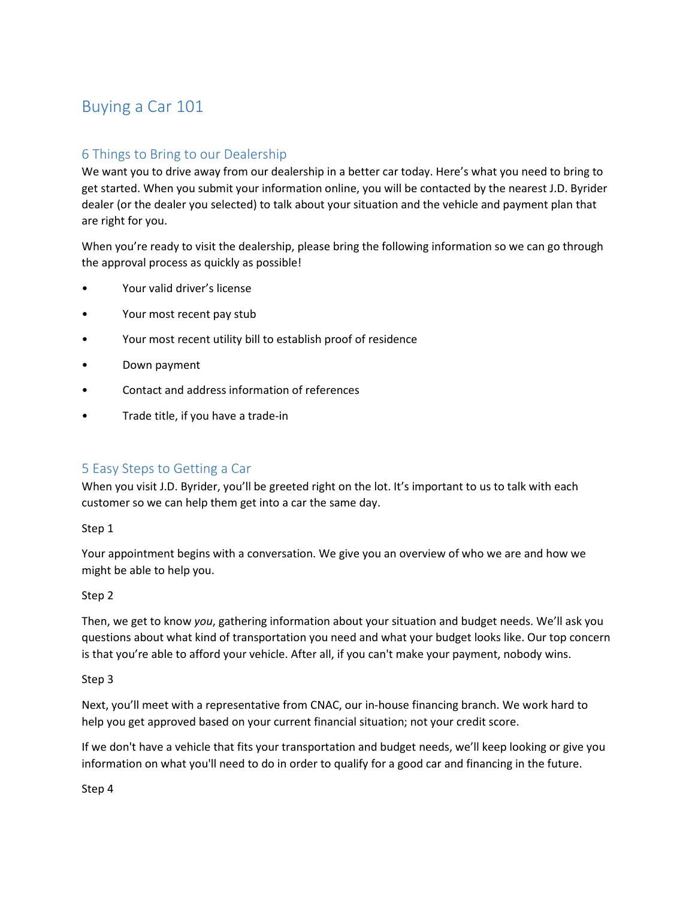# Buying a Car 101

## 6 Things to Bring to our Dealership

We want you to drive away from our dealership in a better car today. Here's what you need to bring to get started. When you submit your information online, you will be contacted by the nearest J.D. Byrider dealer (or the dealer you selected) to talk about your situation and the vehicle and payment plan that are right for you.

When you're ready to visit the dealership, please bring the following information so we can go through the approval process as quickly as possible!

- Your valid driver's license
- Your most recent pay stub
- Your most recent utility bill to establish proof of residence
- Down payment
- Contact and address information of references
- Trade title, if you have a trade-in

### 5 Easy Steps to Getting a Car

When you visit J.D. Byrider, you'll be greeted right on the lot. It's important to us to talk with each customer so we can help them get into a car the same day.

#### Step 1

Your appointment begins with a conversation. We give you an overview of who we are and how we might be able to help you.

#### Step 2

Then, we get to know you, gathering information about your situation and budget needs. We'll ask you questions about what kind of transportation you need and what your budget looks like. Our top concern is that you're able to afford your vehicle. After all, if you can't make your payment, nobody wins.

#### Step 3

Next, you'll meet with a representative from CNAC, our in-house financing branch. We work hard to help you get approved based on your current financial situation; not your credit score.

If we don't have a vehicle that fits your transportation and budget needs, we'll keep looking or give you information on what you'll need to do in order to qualify for a good car and financing in the future.

Step 4